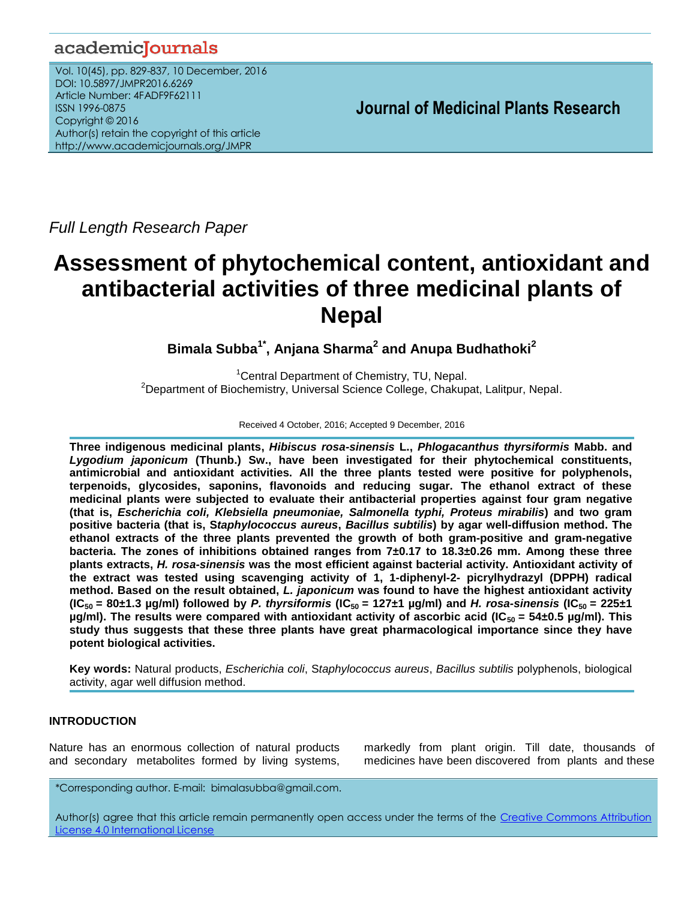## academicJournals

Vol. 10(45), pp. 829-837, 10 December, 2016 DOI: 10.5897/JMPR2016.6269 Article Number: 4FADF9F62111 ISSN 1996-0875 Copyright © 2016 Author(s) retain the copyright of this article http://www.academicjournals.org/JMPR

 **Journal of Medicinal Plants Research**

*Full Length Research Paper*

# **Assessment of phytochemical content, antioxidant and antibacterial activities of three medicinal plants of Nepal**

**Bimala Subba1\* , Anjana Sharma<sup>2</sup> and Anupa Budhathoki<sup>2</sup>**

<sup>1</sup>Central Department of Chemistry, TU, Nepal. <sup>2</sup>Department of Biochemistry, Universal Science College, Chakupat, Lalitpur, Nepal.

Received 4 October, 2016; Accepted 9 December, 2016

**Three indigenous medicinal plants,** *Hibiscus rosa-sinensis* **L.,** *Phlogacanthus thyrsiformis* **Mabb. and** *Lygodium japonicum* **(Thunb.) Sw., have been investigated for their phytochemical constituents, antimicrobial and antioxidant activities. All the three plants tested were positive for polyphenols, terpenoids, glycosides, saponins, flavonoids and reducing sugar. The ethanol extract of these medicinal plants were subjected to evaluate their antibacterial properties against four gram negative (that is,** *Escherichia coli, Klebsiella pneumoniae, Salmonella typhi, Proteus mirabilis***) and two gram positive bacteria (that is, S***taphylococcus aureus***,** *Bacillus subtilis***) by agar well-diffusion method. The ethanol extracts of the three plants prevented the growth of both gram-positive and gram-negative bacteria. The zones of inhibitions obtained ranges from 7±0.17 to 18.3±0.26 mm. Among these three plants extracts,** *H. rosa-sinensis* **was the most efficient against bacterial activity. Antioxidant activity of the extract was tested using scavenging activity of 1, 1-diphenyl-2- picrylhydrazyl (DPPH) radical method. Based on the result obtained,** *L. japonicum* **was found to have the highest antioxidant activity (IC**<sub>50</sub> = 80±1.3  $\mu$ g/ml) followed by *P. thyrsiformis* (IC<sub>50</sub> = 127±1  $\mu$ g/ml) and *H. rosa-sinensis* (IC<sub>50</sub> = 225±1 **µg/ml).** The results were compared with antioxidant activity of ascorbic acid (IC<sub>50</sub> = 54±0.5 µg/ml). This **study thus suggests that these three plants have great pharmacological importance since they have potent biological activities.**

**Key words:** Natural products, *Escherichia coli*, S*taphylococcus aureus*, *Bacillus subtilis* polyphenols, biological activity, agar well diffusion method.

## **INTRODUCTION**

Nature has an enormous collection of natural products and secondary metabolites formed by living systems,

markedly from plant origin. Till date, thousands of medicines have been discovered from plants and these

*\**Corresponding author. E-mail: bimalasubba@gmail.com.

Author(s) agree that this article remain permanently open access under the terms of the Creative Commons Attribution [License 4.0 International License](http://creativecommons.org/licenses/by/4.0/deed.en_US)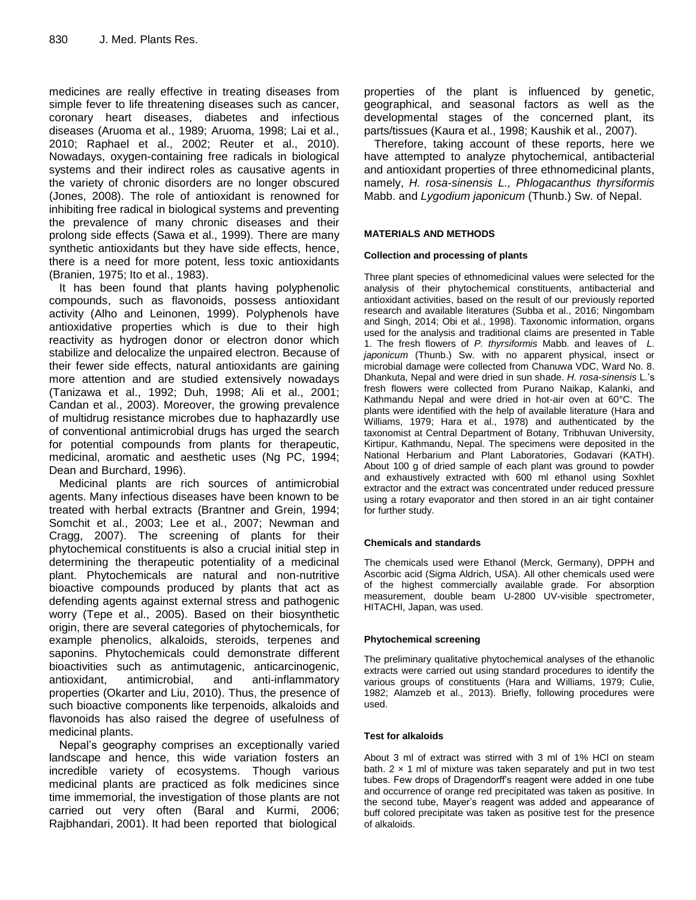medicines are really effective in treating diseases from simple fever to life threatening diseases such as cancer, coronary heart diseases, diabetes and infectious diseases (Aruoma et al., 1989; Aruoma, 1998; Lai et al., 2010; Raphael et al., 2002; Reuter et al., 2010). Nowadays, oxygen-containing free radicals in biological systems and their indirect roles as causative agents in the variety of chronic disorders are no longer obscured (Jones, 2008). The role of antioxidant is renowned for inhibiting free radical in biological systems and preventing the prevalence of many chronic diseases and their prolong side effects (Sawa et al., 1999). There are many synthetic antioxidants but they have side effects, hence, there is a need for more potent, less toxic antioxidants (Branien, 1975; Ito et al., 1983).

It has been found that plants having polyphenolic compounds, such as flavonoids, possess antioxidant activity (Alho and Leinonen, 1999). Polyphenols have antioxidative properties which is due to their high reactivity as hydrogen donor or electron donor which stabilize and delocalize the unpaired electron. Because of their fewer side effects, natural antioxidants are gaining more attention and are studied extensively nowadays (Tanizawa et al., 1992; Duh, 1998; Ali et al., 2001; Candan et al., 2003). Moreover, the growing prevalence of multidrug resistance microbes due to haphazardly use of conventional antimicrobial drugs has urged the search for potential compounds from plants for therapeutic, medicinal, aromatic and aesthetic uses (Ng PC, 1994; Dean and Burchard, 1996).

Medicinal plants are rich sources of antimicrobial agents. Many infectious diseases have been known to be treated with herbal extracts (Brantner and Grein, 1994; Somchit et al., 2003; Lee et al., 2007; Newman and Cragg, 2007). The screening of plants for their phytochemical constituents is also a crucial initial step in determining the therapeutic potentiality of a medicinal plant. Phytochemicals are natural and non-nutritive bioactive compounds produced by plants that act as defending agents against external stress and pathogenic worry (Tepe et al., 2005). Based on their biosynthetic origin, there are several categories of phytochemicals, for example phenolics, alkaloids, steroids, terpenes and saponins. Phytochemicals could demonstrate different bioactivities such as antimutagenic, anticarcinogenic, antioxidant, antimicrobial, and anti-inflammatory properties (Okarter and Liu, 2010). Thus, the presence of such bioactive components like terpenoids, alkaloids and flavonoids has also raised the degree of usefulness of medicinal plants.

Nepal's geography comprises an exceptionally varied landscape and hence, this wide variation fosters an incredible variety of ecosystems. Though various medicinal plants are practiced as folk medicines since time immemorial, the investigation of those plants are not carried out very often (Baral and Kurmi, 2006; Rajbhandari, 2001). It had been reported that biological

properties of the plant is influenced by genetic, geographical, and seasonal factors as well as the developmental stages of the concerned plant, its parts/tissues (Kaura et al., 1998; Kaushik et al., 2007).

Therefore, taking account of these reports, here we have attempted to analyze phytochemical, antibacterial and antioxidant properties of three ethnomedicinal plants, namely, *H. rosa-sinensis L., Phlogacanthus thyrsiformis* Mabb. and *Lygodium japonicum* (Thunb.) Sw. of Nepal.

## **MATERIALS AND METHODS**

## **Collection and processing of plants**

Three plant species of ethnomedicinal values were selected for the analysis of their phytochemical constituents, antibacterial and antioxidant activities, based on the result of our previously reported research and available literatures (Subba et al., 2016; Ningombam and Singh, 2014; Obi et al., 1998). Taxonomic information, organs used for the analysis and traditional claims are presented in Table 1. The fresh flowers of *P. thyrsiformis* Mabb. and leaves of *L. japonicum* (Thunb.) Sw. with no apparent physical, insect or microbial damage were collected from Chanuwa VDC, Ward No. 8. Dhankuta, Nepal and were dried in sun shade. *H. rosa-sinensis* L.'s fresh flowers were collected from Purano Naikap, Kalanki, and Kathmandu Nepal and were dried in hot-air oven at 60°C. The plants were identified with the help of available literature (Hara and Williams, 1979; Hara et al., 1978) and authenticated by the taxonomist at Central Department of Botany, Tribhuvan University, Kirtipur, Kathmandu, Nepal. The specimens were deposited in the National Herbarium and Plant Laboratories, Godavari (KATH). About 100 g of dried sample of each plant was ground to powder and exhaustively extracted with 600 ml ethanol using Soxhlet extractor and the extract was concentrated under reduced pressure using a rotary evaporator and then stored in an air tight container for further study.

## **Chemicals and standards**

The chemicals used were Ethanol (Merck, Germany), DPPH and Ascorbic acid (Sigma Aldrich, USA). All other chemicals used were of the highest commercially available grade. For absorption measurement, double beam U-2800 UV-visible spectrometer, HITACHI, Japan, was used.

## **Phytochemical screening**

The preliminary qualitative phytochemical analyses of the ethanolic extracts were carried out using standard procedures to identify the various groups of constituents (Hara and Williams, 1979; Culie, 1982; Alamzeb et al., 2013). Briefly, following procedures were used.

#### **Test for alkaloids**

About 3 ml of extract was stirred with 3 ml of 1% HCl on steam bath.  $2 \times 1$  ml of mixture was taken separately and put in two test tubes. Few drops of Dragendorff's reagent were added in one tube and occurrence of orange red precipitated was taken as positive. In the second tube, Mayer's reagent was added and appearance of buff colored precipitate was taken as positive test for the presence of alkaloids.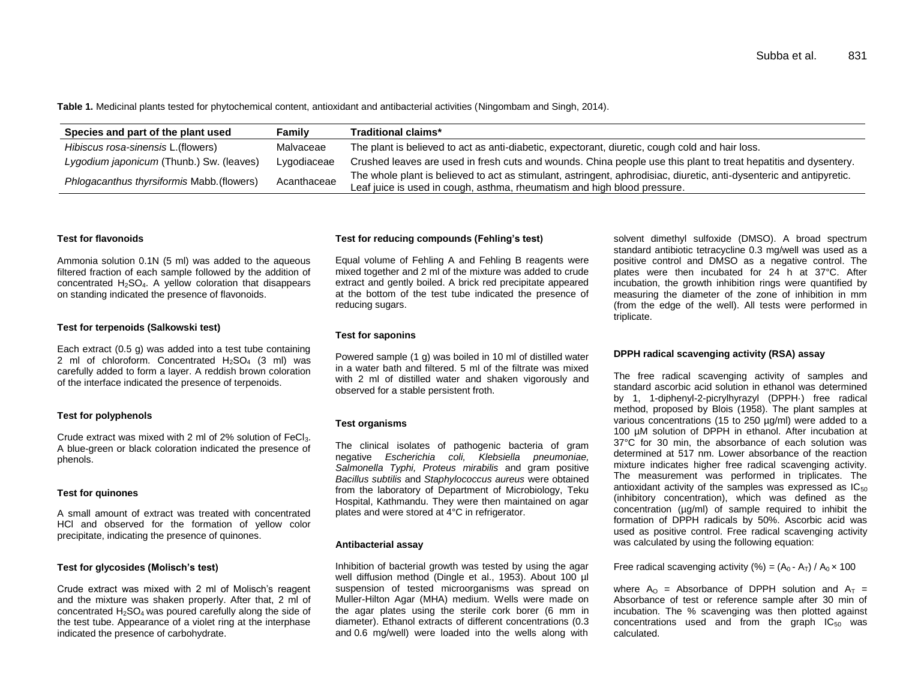**Table 1.** Medicinal plants tested for phytochemical content, antioxidant and antibacterial activities (Ningombam and Singh, 2014).

| Species and part of the plant used         | Familv      | Traditional claims*                                                                                                  |  |  |
|--------------------------------------------|-------------|----------------------------------------------------------------------------------------------------------------------|--|--|
| Hibiscus rosa-sinensis L. (flowers)        | Malvaceae   | The plant is believed to act as anti-diabetic, expectorant, diuretic, cough cold and hair loss.                      |  |  |
| Lygodium japonicum (Thunb.) Sw. (leaves)   | Lygodiaceae | Crushed leaves are used in fresh cuts and wounds. China people use this plant to treat hepatitis and dysentery.      |  |  |
| Phlogacanthus thyrsiformis Mabb. (flowers) | Acanthaceae | The whole plant is believed to act as stimulant, astringent, aphrodisiac, diuretic, anti-dysenteric and antipyretic. |  |  |
|                                            |             | Leaf juice is used in cough, asthma, rheumatism and high blood pressure.                                             |  |  |

#### **Test for flavonoids**

Ammonia solution 0.1N (5 ml) was added to the aqueous filtered fraction of each sample followed by the addition of concentrated  $H_2SO_4$ . A yellow coloration that disappears on standing indicated the presence of flavonoids.

#### **Test for terpenoids (Salkowski test)**

Each extract (0.5 g) was added into a test tube containing 2 ml of chloroform. Concentrated  $H_2SO_4$  (3 ml) was carefully added to form a layer. A reddish brown coloration of the interface indicated the presence of terpenoids.

#### **Test for polyphenols**

Crude extract was mixed with 2 ml of 2% solution of FeCl3. A blue-green or black coloration indicated the presence of phenols.

#### **Test for quinones**

A small amount of extract was treated with concentrated HCl and observed for the formation of yellow color precipitate, indicating the presence of quinones.

#### **Test for glycosides (Molisch's test)**

Crude extract was mixed with 2 ml of Molisch's reagent and the mixture was shaken properly. After that, 2 ml of concentrated  $H_2$ SO<sub>4</sub> was poured carefully along the side of the test tube. Appearance of a violet ring at the interphase indicated the presence of carbohydrate.

#### **Test for reducing compounds (Fehling's test)**

Equal volume of Fehling A and Fehling B reagents were mixed together and 2 ml of the mixture was added to crude extract and gently boiled. A brick red precipitate appeared at the bottom of the test tube indicated the presence of reducing sugars.

#### **Test for saponins**

Powered sample (1 g) was boiled in 10 ml of distilled water in a water bath and filtered. 5 ml of the filtrate was mixed with 2 ml of distilled water and shaken vigorously and observed for a stable persistent froth.

#### **Test organisms**

The clinical isolates of pathogenic bacteria of gram negative *Escherichia coli, Klebsiella pneumoniae, Salmonella Typhi, Proteus mirabilis* and gram positive *Bacillus subtilis* and *Staphylococcus aureus* were obtained from the laboratory of Department of Microbiology, Teku Hospital, Kathmandu. They were then maintained on agar plates and were stored at 4°C in refrigerator.

#### **Antibacterial assay**

Inhibition of bacterial growth was tested by using the agar well diffusion method (Dingle et al., 1953). About 100 µl suspension of tested microorganisms was spread on Muller-Hilton Agar (MHA) medium. Wells were made on the agar plates using the sterile cork borer (6 mm in diameter). Ethanol extracts of different concentrations (0.3 and 0.6 mg/well) were loaded into the wells along with

solvent dimethyl sulfoxide (DMSO). A broad spectrum standard antibiotic tetracycline 0.3 mg/well was used as a positive control and DMSO as a negative control. The plates were then incubated for 24 h at 37°C. After incubation, the growth inhibition rings were quantified by measuring the diameter of the zone of inhibition in mm (from the edge of the well). All tests were performed in triplicate.

#### **DPPH radical scavenging activity (RSA) assay**

The free radical scavenging activity of samples and standard ascorbic acid solution in ethanol was determined by 1, 1-diphenyl-2-picrylhyrazyl (DPPH·) free radical method, proposed by Blois (1958). The plant samples at various concentrations (15 to 250 µg/ml) were added to a 100 µM solution of DPPH in ethanol. After incubation at 37°C for 30 min, the absorbance of each solution was determined at 517 nm. Lower absorbance of the reaction mixture indicates higher free radical scavenging activity. The measurement was performed in triplicates. The antioxidant activity of the samples was expressed as  $IC_{50}$ (inhibitory concentration), which was defined as the concentration (µg/ml) of sample required to inhibit the formation of DPPH radicals by 50%. Ascorbic acid was used as positive control. Free radical scavenging activity was calculated by using the following equation:

Free radical scavenging activity (%) =  $(A_0 - A_T) / A_0 \times 100$ 

where  $A_0$  = Absorbance of DPPH solution and  $A_T$  = Absorbance of test or reference sample after 30 min of incubation. The % scavenging was then plotted against concentrations used and from the graph  $IC_{50}$  was calculated.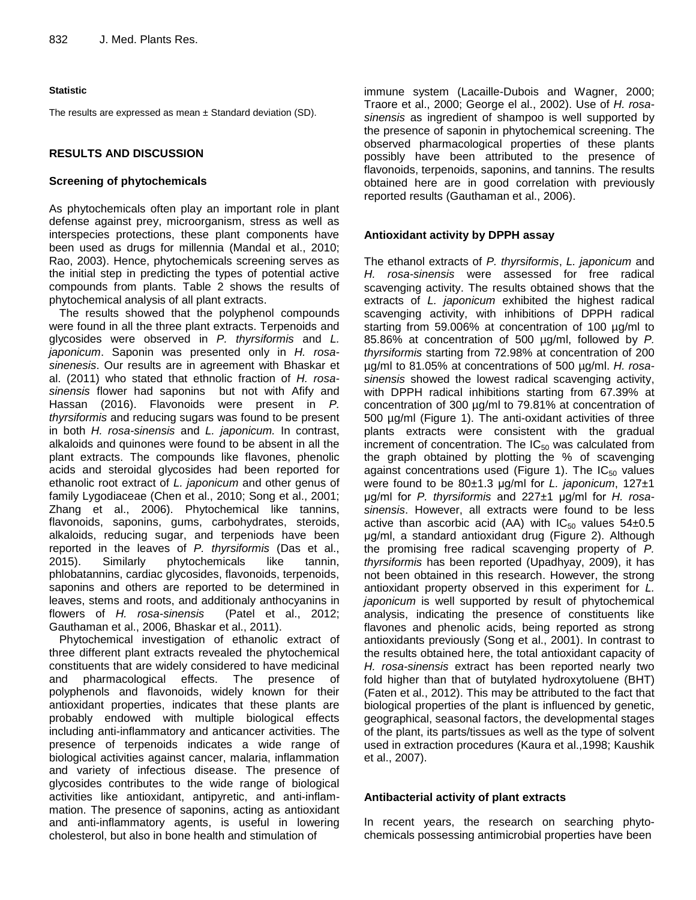## **Statistic**

The results are expressed as mean  $\pm$  Standard deviation (SD).

## **RESULTS AND DISCUSSION**

## **Screening of phytochemicals**

As phytochemicals often play an important role in plant defense against prey, microorganism, stress as well as interspecies protections, these plant components have been used as drugs for millennia (Mandal et al., 2010; Rao, 2003). Hence, phytochemicals screening serves as the initial step in predicting the types of potential active compounds from plants. Table 2 shows the results of phytochemical analysis of all plant extracts.

The results showed that the polyphenol compounds were found in all the three plant extracts. Terpenoids and glycosides were observed in *P. thyrsiformis* and *L. japonicum*. Saponin was presented only in *H. rosasinenesis*. Our results are in agreement with Bhaskar et al. (2011) who stated that ethnolic fraction of *H. rosasinensis* flower had saponins but not with Afify and Hassan (2016). Flavonoids were present in *P. thyrsiformis* and reducing sugars was found to be present in both *H. rosa-sinensis* and *L. japonicum.* In contrast, alkaloids and quinones were found to be absent in all the plant extracts. The compounds like flavones, phenolic acids and steroidal glycosides had been reported for ethanolic root extract of *L. japonicum* and other genus of family Lygodiaceae (Chen et al., 2010; Song et al., 2001; Zhang et al., 2006). Phytochemical like tannins, flavonoids, saponins, gums, carbohydrates, steroids, alkaloids, reducing sugar, and terpeniods have been reported in the leaves of *P. thyrsiformis* (Das et al., 2015). Similarly phytochemicals like tannin, phlobatannins, cardiac glycosides, flavonoids, terpenoids, saponins and others are reported to be determined in leaves, stems and roots, and additionaly anthocyanins in flowers of *H. rosa-sinensis* (Patel et al., 2012; Gauthaman et al., 2006, Bhaskar et al., 2011).

Phytochemical investigation of ethanolic extract of three different plant extracts revealed the phytochemical constituents that are widely considered to have medicinal and pharmacological effects. The presence of polyphenols and flavonoids, widely known for their antioxidant properties, indicates that these plants are probably endowed with multiple biological effects including anti-inflammatory and anticancer activities. The presence of terpenoids indicates a wide range of biological activities against cancer, malaria, inflammation and variety of infectious disease. The presence of glycosides contributes to the wide range of biological activities like antioxidant, antipyretic, and anti-inflammation. The presence of saponins, acting as antioxidant and anti-inflammatory agents, is useful in lowering cholesterol, but also in bone health and stimulation of

immune system (Lacaille-Dubois and Wagner, 2000; Traore et al., 2000; George el al., 2002). Use of *H. rosasinensis* as ingredient of shampoo is well supported by the presence of saponin in phytochemical screening. The observed pharmacological properties of these plants possibly have been attributed to the presence of flavonoids, terpenoids, saponins, and tannins. The results obtained here are in good correlation with previously reported results (Gauthaman et al., 2006).

## **Antioxidant activity by DPPH assay**

The ethanol extracts of *P. thyrsiformis*, *L. japonicum* and *H. rosa-sinensis* were assessed for free radical scavenging activity. The results obtained shows that the extracts of *L. japonicum* exhibited the highest radical scavenging activity, with inhibitions of DPPH radical starting from 59.006% at concentration of 100 µg/ml to 85.86% at concentration of 500 µg/ml, followed by *P. thyrsiformis* starting from 72.98% at concentration of 200 µg/ml to 81.05% at concentrations of 500 µg/ml. *H. rosasinensis* showed the lowest radical scavenging activity, with DPPH radical inhibitions starting from 67.39% at concentration of 300 µg/ml to 79.81% at concentration of 500 µg/ml (Figure 1). The anti-oxidant activities of three plants extracts were consistent with the gradual increment of concentration. The  $IC_{50}$  was calculated from the graph obtained by plotting the % of scavenging against concentrations used (Figure 1). The  $IC_{50}$  values were found to be 80±1.3 μg/ml for *L. japonicum*, 127±1 μg/ml for *P. thyrsiformis* and 227±1 μg/ml for *H. rosasinensis*. However, all extracts were found to be less active than ascorbic acid (AA) with  $IC_{50}$  values  $54\pm0.5$ μg/ml, a standard antioxidant drug (Figure 2). Although the promising free radical scavenging property of *P. thyrsiformis* has been reported (Upadhyay, 2009), it has not been obtained in this research. However, the strong antioxidant property observed in this experiment for *L. japonicum* is well supported by result of phytochemical analysis, indicating the presence of constituents like flavones and phenolic acids, being reported as strong antioxidants previously (Song et al., 2001). In contrast to the results obtained here, the total antioxidant capacity of *H. rosa-sinensis* extract has been reported nearly two fold higher than that of butylated hydroxytoluene (BHT) (Faten et al., 2012). This may be attributed to the fact that biological properties of the plant is influenced by genetic, geographical, seasonal factors, the developmental stages of the plant, its parts/tissues as well as the type of solvent used in extraction procedures (Kaura et al.,1998; Kaushik et al., 2007).

## **Antibacterial activity of plant extracts**

In recent years, the research on searching phytochemicals possessing antimicrobial properties have been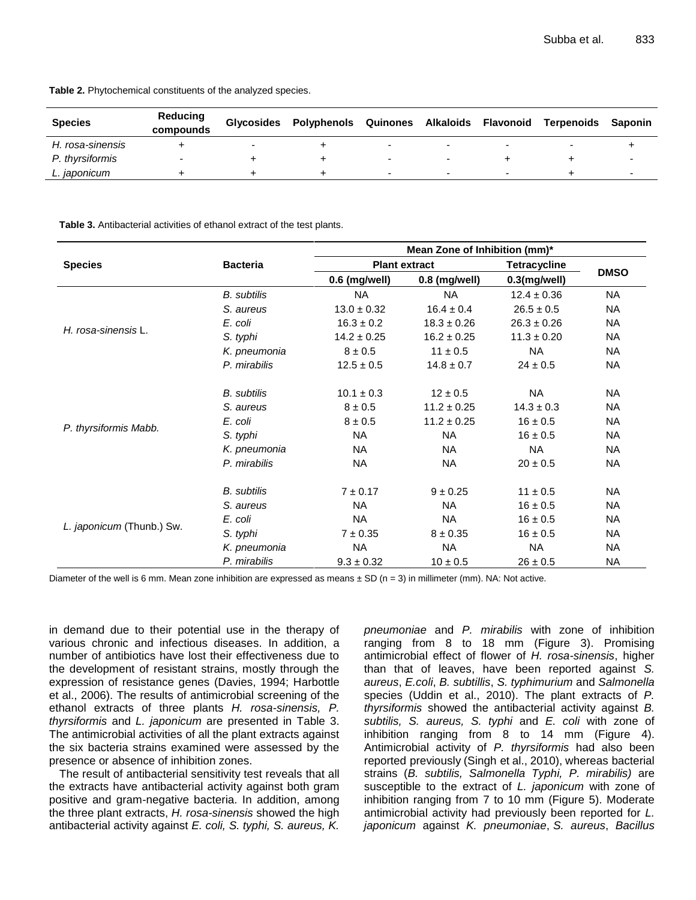| <b>Species</b>   | Reducing<br>compounds | <b>Glycosides</b> | Polyphenols Quinones Alkaloids |                          | Flavonoid                | Terpenoids | Saponin                  |
|------------------|-----------------------|-------------------|--------------------------------|--------------------------|--------------------------|------------|--------------------------|
| H. rosa-sinensis |                       |                   |                                |                          |                          |            |                          |
| P. thyrsiformis  |                       |                   |                                |                          |                          |            |                          |
| L. japonicum     |                       |                   |                                | $\overline{\phantom{0}}$ | $\overline{\phantom{0}}$ |            | $\overline{\phantom{0}}$ |

**Table 2.** Phytochemical constituents of the analyzed species.

**Table 3.** Antibacterial activities of ethanol extract of the test plants.

|                           |                    | Mean Zone of Inhibition (mm)* |                      |                 |             |  |  |  |
|---------------------------|--------------------|-------------------------------|----------------------|-----------------|-------------|--|--|--|
| <b>Species</b>            | <b>Bacteria</b>    |                               | <b>Plant extract</b> | Tetracycline    | <b>DMSO</b> |  |  |  |
|                           |                    | 0.6 (mg/well)                 | 0.8 (mg/well)        | 0.3(mg/well)    |             |  |  |  |
| H. rosa-sinensis L.       | <b>B.</b> subtilis | <b>NA</b>                     | <b>NA</b>            | $12.4 \pm 0.36$ | <b>NA</b>   |  |  |  |
|                           | S. aureus          | $13.0 \pm 0.32$               | $16.4 \pm 0.4$       | $26.5 \pm 0.5$  | <b>NA</b>   |  |  |  |
|                           | E. coli            | $16.3 \pm 0.2$                | $18.3 \pm 0.26$      | $26.3 \pm 0.26$ | <b>NA</b>   |  |  |  |
|                           | S. typhi           | $14.2 \pm 0.25$               | $16.2 \pm 0.25$      | $11.3 \pm 0.20$ | <b>NA</b>   |  |  |  |
|                           | K. pneumonia       | $8 \pm 0.5$                   | $11 \pm 0.5$         | <b>NA</b>       | <b>NA</b>   |  |  |  |
|                           | P. mirabilis       | $12.5 \pm 0.5$                | $14.8 \pm 0.7$       | $24 \pm 0.5$    | <b>NA</b>   |  |  |  |
| P. thyrsiformis Mabb.     | <b>B.</b> subtilis | $10.1 \pm 0.3$                | $12 \pm 0.5$         | <b>NA</b>       | <b>NA</b>   |  |  |  |
|                           | S. aureus          | $8 \pm 0.5$                   | $11.2 \pm 0.25$      | $14.3 \pm 0.3$  | <b>NA</b>   |  |  |  |
|                           | E. coli            | $8 \pm 0.5$                   | $11.2 \pm 0.25$      | $16 \pm 0.5$    | <b>NA</b>   |  |  |  |
|                           | S. typhi           | <b>NA</b>                     | <b>NA</b>            | $16 \pm 0.5$    | <b>NA</b>   |  |  |  |
|                           | K. pneumonia       | NA.                           | <b>NA</b>            | NA              | <b>NA</b>   |  |  |  |
|                           | P. mirabilis       | <b>NA</b>                     | <b>NA</b>            | $20 \pm 0.5$    | <b>NA</b>   |  |  |  |
| L. japonicum (Thunb.) Sw. | <b>B.</b> subtilis | $7 \pm 0.17$                  | $9 \pm 0.25$         | $11 \pm 0.5$    | <b>NA</b>   |  |  |  |
|                           | S. aureus          | <b>NA</b>                     | <b>NA</b>            | $16 \pm 0.5$    | <b>NA</b>   |  |  |  |
|                           | E. coli            | <b>NA</b>                     | <b>NA</b>            | $16 \pm 0.5$    | <b>NA</b>   |  |  |  |
|                           | S. typhi           | $7 \pm 0.35$                  | $8 \pm 0.35$         | $16 \pm 0.5$    | <b>NA</b>   |  |  |  |
|                           | K. pneumonia       | <b>NA</b>                     | <b>NA</b>            | <b>NA</b>       | <b>NA</b>   |  |  |  |
|                           | P. mirabilis       | $9.3 \pm 0.32$                | $10 \pm 0.5$         | $26 \pm 0.5$    | <b>NA</b>   |  |  |  |

Diameter of the well is 6 mm. Mean zone inhibition are expressed as means  $\pm$  SD (n = 3) in millimeter (mm). NA: Not active.

in demand due to their potential use in the therapy of various chronic and infectious diseases. In addition, a number of antibiotics have lost their effectiveness due to the development of resistant strains, mostly through the expression of resistance genes (Davies, 1994; Harbottle et al., 2006). The results of antimicrobial screening of the ethanol extracts of three plants *H. rosa-sinensis, P. thyrsiformis* and *L. japonicum* are presented in Table 3. The antimicrobial activities of all the plant extracts against the six bacteria strains examined were assessed by the presence or absence of inhibition zones.

The result of antibacterial sensitivity test reveals that all the extracts have antibacterial activity against both gram positive and gram-negative bacteria. In addition, among the three plant extracts, *H. rosa-sinensis* showed the high antibacterial activity against *E. coli, S. typhi, S. aureus, K.* 

*pneumoniae* and *P. mirabilis* with zone of inhibition ranging from 8 to 18 mm (Figure 3). Promising antimicrobial effect of flower of *H. rosa-sinensis*, higher than that of leaves, have been reported against *S. aureus*, *E.coli*, *B. subtillis*, *S. typhimurium* and *Salmonella*  species (Uddin et al., 2010). The plant extracts of *P. thyrsiformis* showed the antibacterial activity against *B. subtilis, S. aureus, S. typhi* and *E. coli* with zone of inhibition ranging from 8 to 14 mm (Figure 4). Antimicrobial activity of *P. thyrsiformis* had also been reported previously (Singh et al., 2010), whereas bacterial strains (*B. subtilis, Salmonella Typhi, P. mirabilis)* are susceptible to the extract of *L. japonicum* with zone of inhibition ranging from 7 to 10 mm (Figure 5). Moderate antimicrobial activity had previously been reported for *L. japonicum* against *K. pneumoniae*, *S. aureus*, *Bacillus*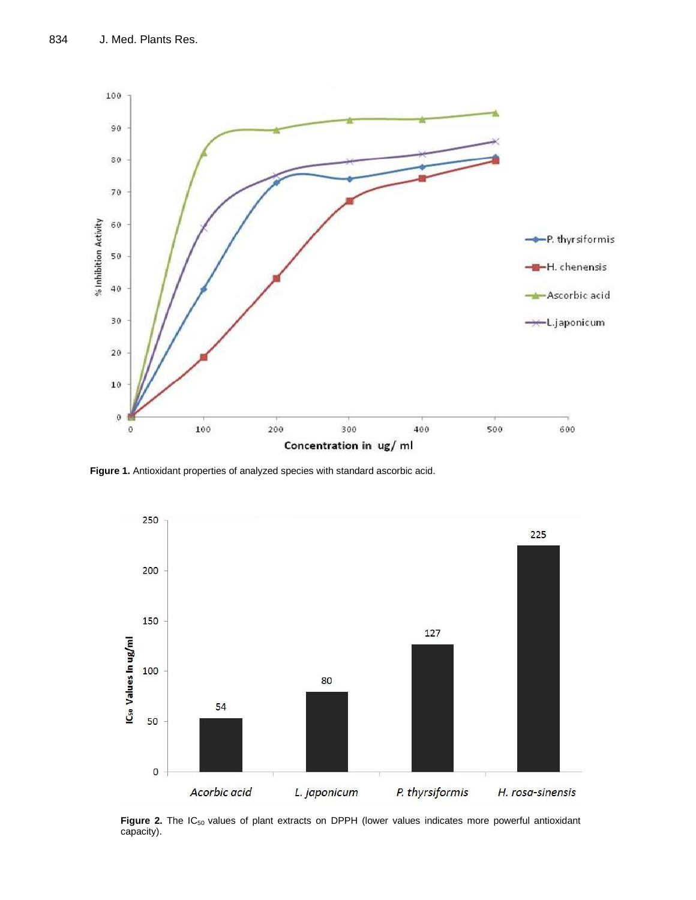

**Figure 1.** Antioxidant properties of analyzed species with standard ascorbic acid.



Figure 2. The IC<sub>50</sub> values of plant extracts on DPPH (lower values indicates more powerful antioxidant capacity).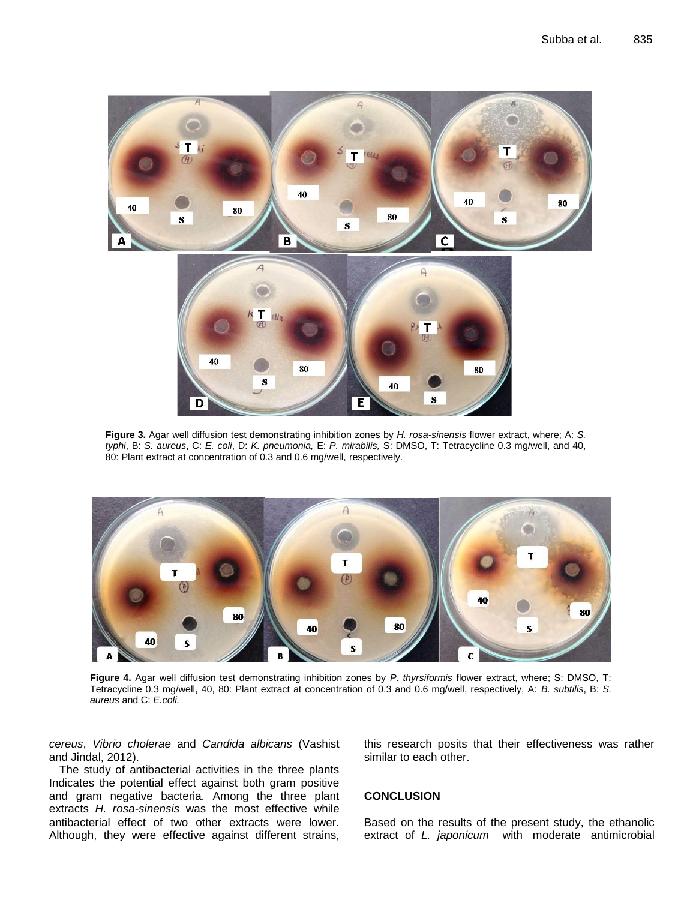

**Figure 3.** Agar well diffusion test demonstrating inhibition zones by *H. rosa-sinensis* flower extract, where; A: *S. typhi*, B: *S. aureus*, C: *E. coli*, D: *K. pneumonia,* E: *P. mirabilis,* S: DMSO, T: Tetracycline 0.3 mg/well, and 40, 80: Plant extract at concentration of 0.3 and 0.6 mg/well, respectively.



**Figure 4.** Agar well diffusion test demonstrating inhibition zones by *P. thyrsiformis* flower extract, where; S: DMSO, T: Tetracycline 0.3 mg/well, 40, 80: Plant extract at concentration of 0.3 and 0.6 mg/well, respectively, A: *B. subtilis*, B: *S. aureus* and C: *E.coli.*

*cereus*, *Vibrio cholerae* and *Candida albicans* (Vashist and Jindal, 2012).

The study of antibacterial activities in the three plants Indicates the potential effect against both gram positive and gram negative bacteria. Among the three plant extracts *H. rosa-sinensis* was the most effective while antibacterial effect of two other extracts were lower. Although, they were effective against different strains, this research posits that their effectiveness was rather similar to each other.

## **CONCLUSION**

Based on the results of the present study, the ethanolic extract of *L. japonicum* with moderate antimicrobial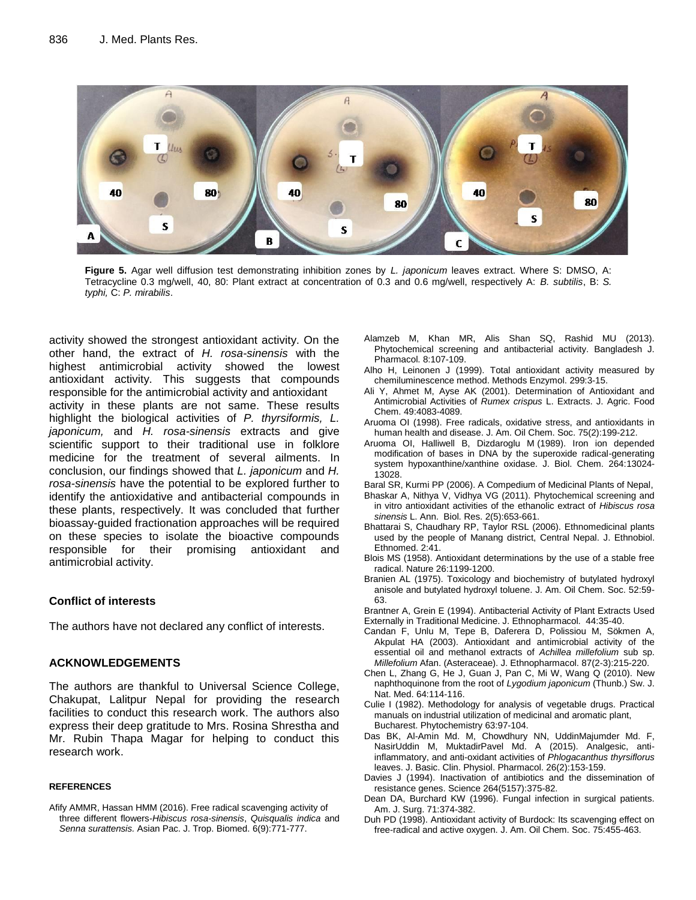

**Figure 5.** Agar well diffusion test demonstrating inhibition zones by *L. japonicum* leaves extract. Where S: DMSO, A: Tetracycline 0.3 mg/well, 40, 80: Plant extract at concentration of 0.3 and 0.6 mg/well, respectively A: *B. subtilis*, B: *S. typhi,* C: *P. mirabilis*.

activity showed the strongest antioxidant activity. On the other hand, the extract of *H. rosa-sinensis* with the highest antimicrobial activity showed the lowest antioxidant activity. This suggests that compounds responsible for the antimicrobial activity and antioxidant activity in these plants are not same. These results highlight the biological activities of *P. thyrsiformis, L. japonicum,* and *H. rosa-sinensis* extracts and give scientific support to their traditional use in folklore medicine for the treatment of several ailments. In conclusion, our findings showed that *L. japonicum* and *H. rosa-sinensis* have the potential to be explored further to identify the antioxidative and antibacterial compounds in these plants, respectively. It was concluded that further bioassay-guided fractionation approaches will be required on these species to isolate the bioactive compounds responsible for their promising antioxidant and antimicrobial activity.

## **Conflict of interests**

The authors have not declared any conflict of interests.

## **ACKNOWLEDGEMENTS**

The authors are thankful to Universal Science College, Chakupat, Lalitpur Nepal for providing the research facilities to conduct this research work. The authors also express their deep gratitude to Mrs. Rosina Shrestha and Mr. Rubin Thapa Magar for helping to conduct this research work.

#### **REFERENCES**

Afify AMMR, Hassan HMM (2016). Free radical scavenging activity of three different flowers-*Hibiscus rosa-sinensis*, *Quisqualis indica* and *Senna surattensis.* Asian Pac. J. Trop. Biomed. 6(9):771-777.

- Alamzeb M, Khan MR, Alis Shan SQ, Rashid MU (2013). Phytochemical screening and antibacterial activity. Bangladesh J. Pharmacol. 8:107-109.
- Alho H, Leinonen J (1999). Total antioxidant activity measured by chemiluminescence method. Methods Enzymol. 299:3-15.
- Ali Y, Ahmet M, Ayse AK (2001). Determination of Antioxidant and Antimicrobial Activities of *Rumex crispus* L. Extracts. J. Agric. Food Chem. 49:4083-4089.
- Aruoma OI (1998). Free radicals, oxidative stress, and antioxidants in human health and disease. J. Am. Oil Chem. Soc. 75(2):199-212.
- Aruoma OI, Halliwell B, Dizdaroglu M (1989). Iron ion depended modification of bases in DNA by the superoxide radical-generating system hypoxanthine/xanthine oxidase. J. Biol. Chem. 264:13024- 13028.

Baral SR, Kurmi PP (2006). A Compedium of Medicinal Plants of Nepal,

- Bhaskar A, Nithya V, Vidhya VG (2011). Phytochemical screening and in vitro antioxidant activities of the ethanolic extract of *Hibiscus rosa sinensis* L. Ann. Biol. Res. 2(5):653-661.
- Bhattarai S, Chaudhary RP, Taylor RSL (2006). Ethnomedicinal plants used by the people of Manang district, Central Nepal. J. Ethnobiol. Ethnomed. 2:41.
- Blois MS (1958). Antioxidant determinations by the use of a stable free radical. Nature 26:1199-1200.
- Branien AL (1975). Toxicology and biochemistry of butylated hydroxyl anisole and butylated hydroxyl toluene. J. Am. Oil Chem. Soc. 52:59- 63.

Brantner A, Grein E (1994). Antibacterial Activity of Plant Extracts Used Externally in Traditional Medicine. J. Ethnopharmacol. 44:35-40.

- Candan F, Unlu M, Tepe B, Daferera D, Polissiou M, Sökmen A, Akpulat HA (2003). Antioxidant and antimicrobial activity of the essential oil and methanol extracts of *Achillea millefolium* sub sp. *Millefolium* Afan. (Asteraceae). J. Ethnopharmacol. 87(2-3):215-220.
- Chen L, Zhang G, He J, Guan J, Pan C, Mi W, Wang Q (2010). New naphthoquinone from the root of *Lygodium japonicum* (Thunb.) Sw. J. Nat. Med. 64:114-116.
- Culie I (1982). Methodology for analysis of vegetable drugs. Practical manuals on industrial utilization of medicinal and aromatic plant, Bucharest. Phytochemistry 63:97-104.
- Das BK, Al-Amin Md. M, Chowdhury NN, UddinMajumder Md. F, NasirUddin M, MuktadirPavel Md. A (2015). Analgesic, antiinflammatory, and anti-oxidant activities of *Phlogacanthus thyrsiflorus*  leaves. J. Basic. Clin. Physiol. Pharmacol. 26(2):153-159.
- [Davies J](http://www.ncbi.nlm.nih.gov/pubmed/?term=Davies%20J%5BAuthor%5D&cauthor=true&cauthor_uid=8153624) (1994). Inactivation of antibiotics and the dissemination of resistance genes. [Science](http://www.ncbi.nlm.nih.gov/pubmed/8153624) 264(5157):375-82.
- Dean DA, Burchard KW (1996). Fungal infection in surgical patients. Am. J. Surg. 71:374-382.
- Duh PD (1998). Antioxidant activity of Burdock: Its scavenging effect on free-radical and active oxygen. J. Am. Oil Chem. Soc. 75:455-463.